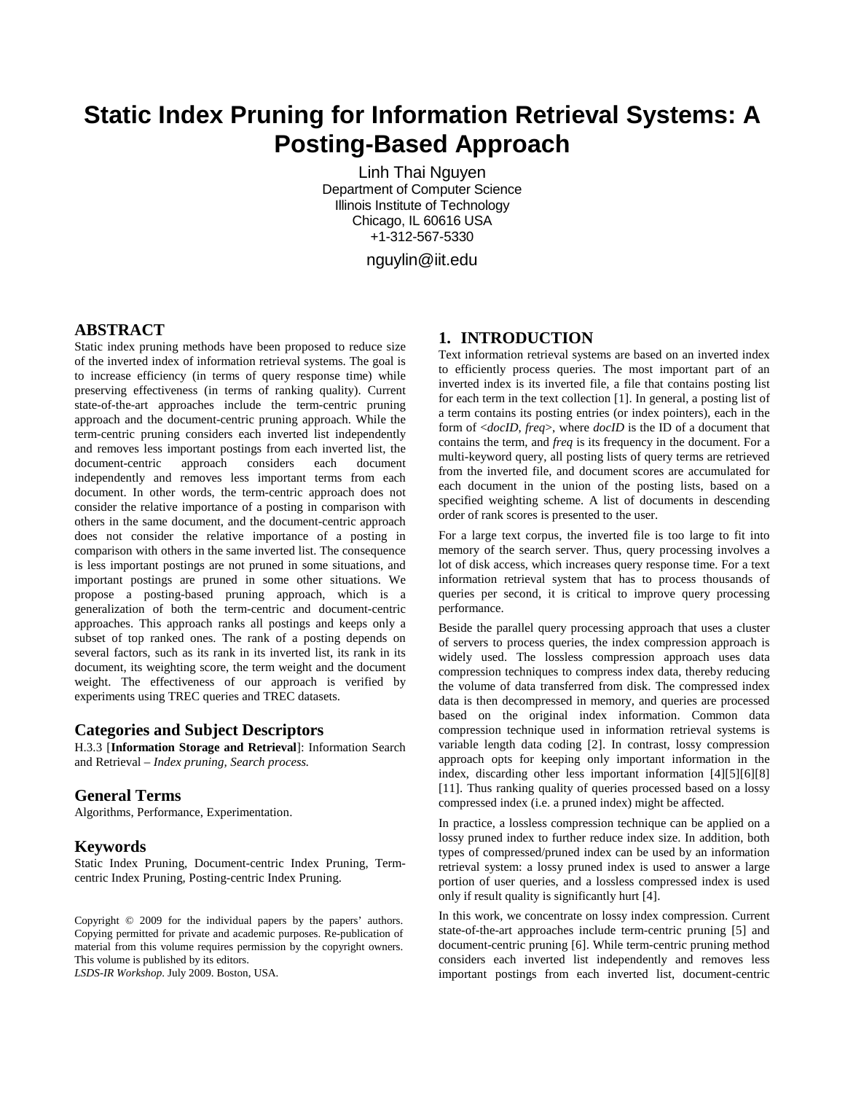# **Static Index Pruning for Information Retrieval Systems: A Posting-Based Approach**

Linh Thai Nguyen Department of Computer Science Illinois Institute of Technology Chicago, IL 60616 USA +1-312-567-5330

nguylin@iit.edu

# **ABSTRACT**

Static index pruning methods have been proposed to reduce size of the inverted index of information retrieval systems. The goal is to increase efficiency (in terms of query response time) while preserving effectiveness (in terms of ranking quality). Current state-of-the-art approaches include the term-centric pruning approach and the document-centric pruning approach. While the term-centric pruning considers each inverted list independently and removes less important postings from each inverted list, the document-centric approach considers each document independently and removes less important terms from each document. In other words, the term-centric approach does not consider the relative importance of a posting in comparison with others in the same document, and the document-centric approach does not consider the relative importance of a posting in comparison with others in the same inverted list. The consequence is less important postings are not pruned in some situations, and important postings are pruned in some other situations. We propose a posting-based pruning approach, which is a generalization of both the term-centric and document-centric approaches. This approach ranks all postings and keeps only a subset of top ranked ones. The rank of a posting depends on several factors, such as its rank in its inverted list, its rank in its document, its weighting score, the term weight and the document weight. The effectiveness of our approach is verified by experiments using TREC queries and TREC datasets.

#### **Categories and Subject Descriptors**

H.3.3 [**Information Storage and Retrieval**]: Information Search and Retrieval – *Index pruning, Search process.* 

# **General Terms**

Algorithms, Performance, Experimentation.

#### **Keywords**

Static Index Pruning, Document-centric Index Pruning, Termcentric Index Pruning, Posting-centric Index Pruning.

Copyright © 2009 for the individual papers by the papers' authors. Copying permitted for private and academic purposes. Re-publication of material from this volume requires permission by the copyright owners. This volume is published by its editors.

*LSDS-IR Workshop*. July 2009. Boston, USA.

# **1. INTRODUCTION**

Text information retrieval systems are based on an inverted index to efficiently process queries. The most important part of an inverted index is its inverted file, a file that contains posting list for each term in the text collection [1]. In general, a posting list of a term contains its posting entries (or index pointers), each in the form of <*docID*, *freq*>, where *docID* is the ID of a document that contains the term, and *freq* is its frequency in the document. For a multi-keyword query, all posting lists of query terms are retrieved from the inverted file, and document scores are accumulated for each document in the union of the posting lists, based on a specified weighting scheme. A list of documents in descending order of rank scores is presented to the user.

For a large text corpus, the inverted file is too large to fit into memory of the search server. Thus, query processing involves a lot of disk access, which increases query response time. For a text information retrieval system that has to process thousands of queries per second, it is critical to improve query processing performance.

Beside the parallel query processing approach that uses a cluster of servers to process queries, the index compression approach is widely used. The lossless compression approach uses data compression techniques to compress index data, thereby reducing the volume of data transferred from disk. The compressed index data is then decompressed in memory, and queries are processed based on the original index information. Common data compression technique used in information retrieval systems is variable length data coding [2]. In contrast, lossy compression approach opts for keeping only important information in the index, discarding other less important information [4][5][6][8] [11]. Thus ranking quality of queries processed based on a lossy compressed index (i.e. a pruned index) might be affected.

In practice, a lossless compression technique can be applied on a lossy pruned index to further reduce index size. In addition, both types of compressed/pruned index can be used by an information retrieval system: a lossy pruned index is used to answer a large portion of user queries, and a lossless compressed index is used only if result quality is significantly hurt [4].

In this work, we concentrate on lossy index compression. Current state-of-the-art approaches include term-centric pruning [5] and document-centric pruning [6]. While term-centric pruning method considers each inverted list independently and removes less important postings from each inverted list, document-centric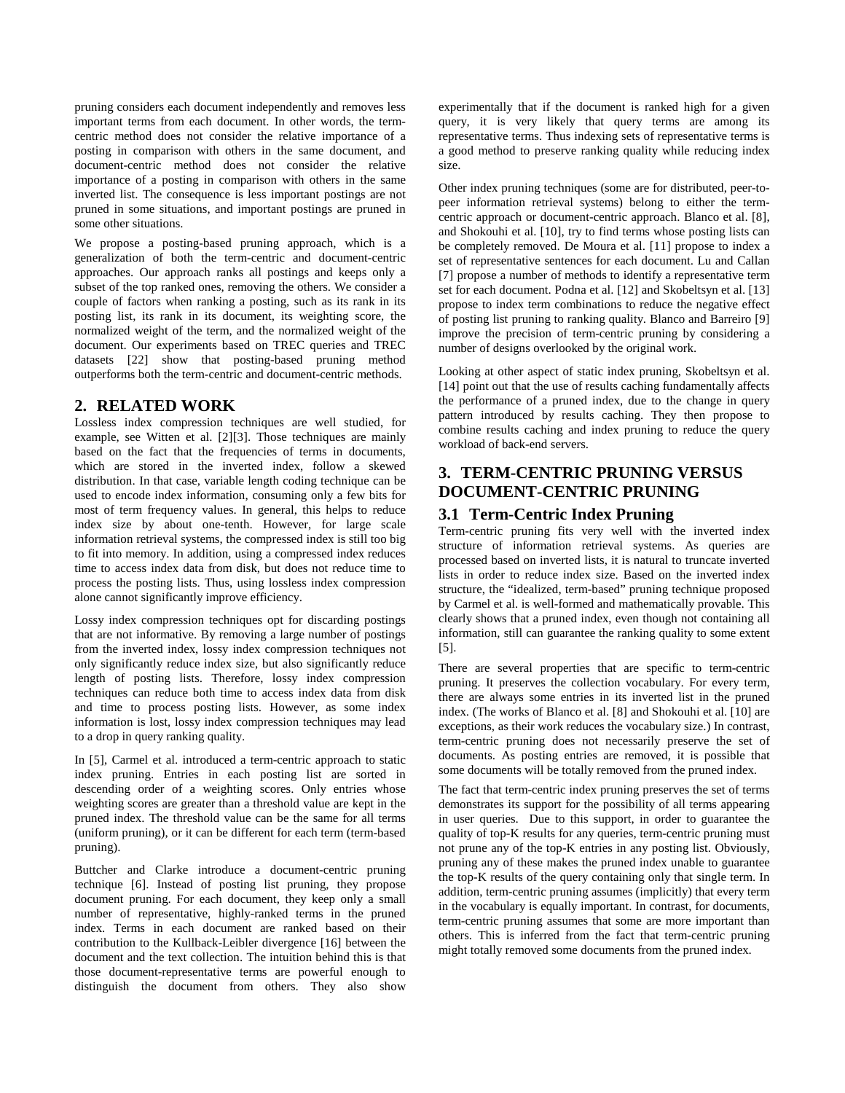pruning considers each document independently and removes less important terms from each document. In other words, the termcentric method does not consider the relative importance of a posting in comparison with others in the same document, and document-centric method does not consider the relative importance of a posting in comparison with others in the same inverted list. The consequence is less important postings are not pruned in some situations, and important postings are pruned in some other situations.

We propose a posting-based pruning approach, which is a generalization of both the term-centric and document-centric approaches. Our approach ranks all postings and keeps only a subset of the top ranked ones, removing the others. We consider a couple of factors when ranking a posting, such as its rank in its posting list, its rank in its document, its weighting score, the normalized weight of the term, and the normalized weight of the document. Our experiments based on TREC queries and TREC datasets [22] show that posting-based pruning method outperforms both the term-centric and document-centric methods.

# **2. RELATED WORK**

Lossless index compression techniques are well studied, for example, see Witten et al. [2][3]. Those techniques are mainly based on the fact that the frequencies of terms in documents, which are stored in the inverted index, follow a skewed distribution. In that case, variable length coding technique can be used to encode index information, consuming only a few bits for most of term frequency values. In general, this helps to reduce index size by about one-tenth. However, for large scale information retrieval systems, the compressed index is still too big to fit into memory. In addition, using a compressed index reduces time to access index data from disk, but does not reduce time to process the posting lists. Thus, using lossless index compression alone cannot significantly improve efficiency.

Lossy index compression techniques opt for discarding postings that are not informative. By removing a large number of postings from the inverted index, lossy index compression techniques not only significantly reduce index size, but also significantly reduce length of posting lists. Therefore, lossy index compression techniques can reduce both time to access index data from disk and time to process posting lists. However, as some index information is lost, lossy index compression techniques may lead to a drop in query ranking quality.

In [5], Carmel et al. introduced a term-centric approach to static index pruning. Entries in each posting list are sorted in descending order of a weighting scores. Only entries whose weighting scores are greater than a threshold value are kept in the pruned index. The threshold value can be the same for all terms (uniform pruning), or it can be different for each term (term-based pruning).

Buttcher and Clarke introduce a document-centric pruning technique [6]. Instead of posting list pruning, they propose document pruning. For each document, they keep only a small number of representative, highly-ranked terms in the pruned index. Terms in each document are ranked based on their contribution to the Kullback-Leibler divergence [16] between the document and the text collection. The intuition behind this is that those document-representative terms are powerful enough to distinguish the document from others. They also show

experimentally that if the document is ranked high for a given query, it is very likely that query terms are among its representative terms. Thus indexing sets of representative terms is a good method to preserve ranking quality while reducing index size.

Other index pruning techniques (some are for distributed, peer-topeer information retrieval systems) belong to either the termcentric approach or document-centric approach. Blanco et al. [8], and Shokouhi et al. [10], try to find terms whose posting lists can be completely removed. De Moura et al. [11] propose to index a set of representative sentences for each document. Lu and Callan [7] propose a number of methods to identify a representative term set for each document. Podna et al. [12] and Skobeltsyn et al. [13] propose to index term combinations to reduce the negative effect of posting list pruning to ranking quality. Blanco and Barreiro [9] improve the precision of term-centric pruning by considering a number of designs overlooked by the original work.

Looking at other aspect of static index pruning, Skobeltsyn et al. [14] point out that the use of results caching fundamentally affects the performance of a pruned index, due to the change in query pattern introduced by results caching. They then propose to combine results caching and index pruning to reduce the query workload of back-end servers.

# **3. TERM-CENTRIC PRUNING VERSUS DOCUMENT-CENTRIC PRUNING**

# **3.1 Term-Centric Index Pruning**

Term-centric pruning fits very well with the inverted index structure of information retrieval systems. As queries are processed based on inverted lists, it is natural to truncate inverted lists in order to reduce index size. Based on the inverted index structure, the "idealized, term-based" pruning technique proposed by Carmel et al. is well-formed and mathematically provable. This clearly shows that a pruned index, even though not containing all information, still can guarantee the ranking quality to some extent [5].

There are several properties that are specific to term-centric pruning. It preserves the collection vocabulary. For every term, there are always some entries in its inverted list in the pruned index. (The works of Blanco et al. [8] and Shokouhi et al. [10] are exceptions, as their work reduces the vocabulary size.) In contrast, term-centric pruning does not necessarily preserve the set of documents. As posting entries are removed, it is possible that some documents will be totally removed from the pruned index.

The fact that term-centric index pruning preserves the set of terms demonstrates its support for the possibility of all terms appearing in user queries. Due to this support, in order to guarantee the quality of top-K results for any queries, term-centric pruning must not prune any of the top-K entries in any posting list. Obviously, pruning any of these makes the pruned index unable to guarantee the top-K results of the query containing only that single term. In addition, term-centric pruning assumes (implicitly) that every term in the vocabulary is equally important. In contrast, for documents, term-centric pruning assumes that some are more important than others. This is inferred from the fact that term-centric pruning might totally removed some documents from the pruned index.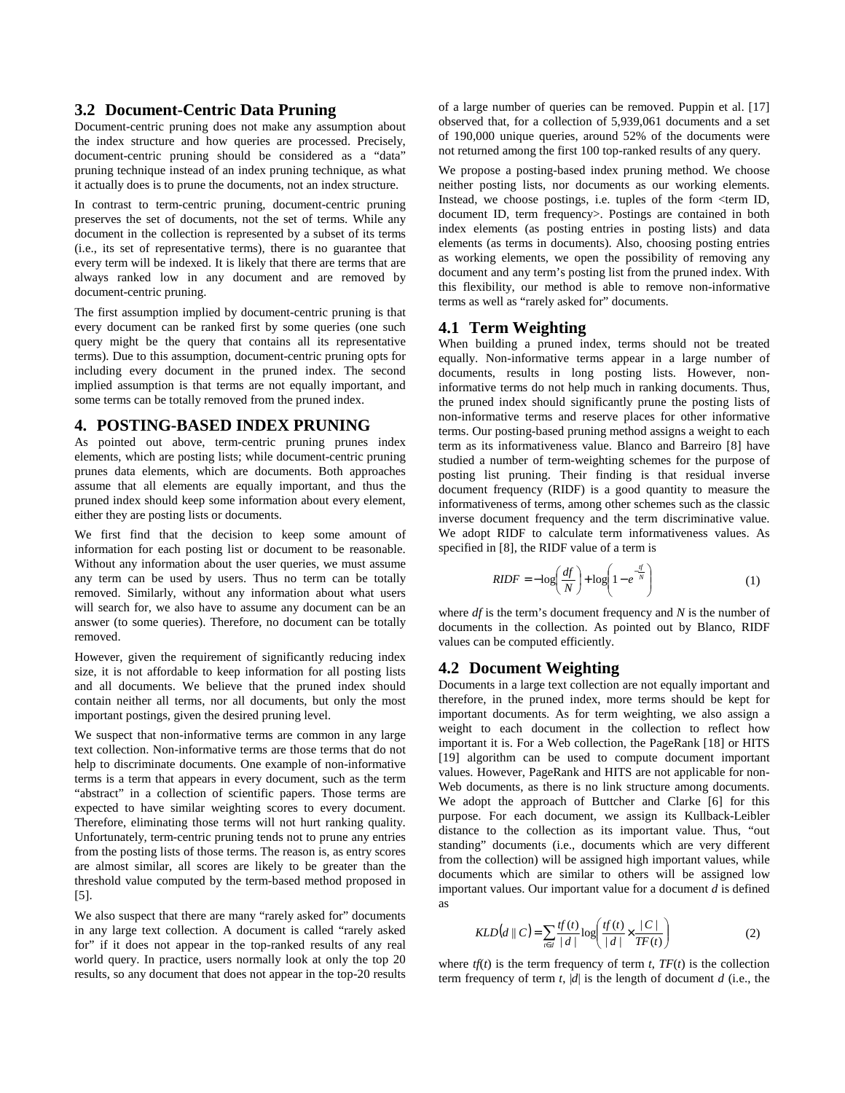#### **3.2 Document-Centric Data Pruning**

Document-centric pruning does not make any assumption about the index structure and how queries are processed. Precisely, document-centric pruning should be considered as a "data" pruning technique instead of an index pruning technique, as what it actually does is to prune the documents, not an index structure.

In contrast to term-centric pruning, document-centric pruning preserves the set of documents, not the set of terms. While any document in the collection is represented by a subset of its terms (i.e., its set of representative terms), there is no guarantee that every term will be indexed. It is likely that there are terms that are always ranked low in any document and are removed by document-centric pruning.

The first assumption implied by document-centric pruning is that every document can be ranked first by some queries (one such query might be the query that contains all its representative terms). Due to this assumption, document-centric pruning opts for including every document in the pruned index. The second implied assumption is that terms are not equally important, and some terms can be totally removed from the pruned index.

#### **4. POSTING-BASED INDEX PRUNING**

As pointed out above, term-centric pruning prunes index elements, which are posting lists; while document-centric pruning prunes data elements, which are documents. Both approaches assume that all elements are equally important, and thus the pruned index should keep some information about every element, either they are posting lists or documents.

We first find that the decision to keep some amount of information for each posting list or document to be reasonable. Without any information about the user queries, we must assume any term can be used by users. Thus no term can be totally removed. Similarly, without any information about what users will search for, we also have to assume any document can be an answer (to some queries). Therefore, no document can be totally removed.

However, given the requirement of significantly reducing index size, it is not affordable to keep information for all posting lists and all documents. We believe that the pruned index should contain neither all terms, nor all documents, but only the most important postings, given the desired pruning level.

We suspect that non-informative terms are common in any large text collection. Non-informative terms are those terms that do not help to discriminate documents. One example of non-informative terms is a term that appears in every document, such as the term "abstract" in a collection of scientific papers. Those terms are expected to have similar weighting scores to every document. Therefore, eliminating those terms will not hurt ranking quality. Unfortunately, term-centric pruning tends not to prune any entries from the posting lists of those terms. The reason is, as entry scores are almost similar, all scores are likely to be greater than the threshold value computed by the term-based method proposed in [5].

We also suspect that there are many "rarely asked for" documents in any large text collection. A document is called "rarely asked for" if it does not appear in the top-ranked results of any real world query. In practice, users normally look at only the top 20 results, so any document that does not appear in the top-20 results of a large number of queries can be removed. Puppin et al. [17] observed that, for a collection of 5,939,061 documents and a set of 190,000 unique queries, around 52% of the documents were not returned among the first 100 top-ranked results of any query.

We propose a posting-based index pruning method. We choose neither posting lists, nor documents as our working elements. Instead, we choose postings, i.e. tuples of the form <term ID, document ID, term frequency>. Postings are contained in both index elements (as posting entries in posting lists) and data elements (as terms in documents). Also, choosing posting entries as working elements, we open the possibility of removing any document and any term's posting list from the pruned index. With this flexibility, our method is able to remove non-informative terms as well as "rarely asked for" documents.

#### **4.1 Term Weighting**

When building a pruned index, terms should not be treated equally. Non-informative terms appear in a large number of documents, results in long posting lists. However, noninformative terms do not help much in ranking documents. Thus, the pruned index should significantly prune the posting lists of non-informative terms and reserve places for other informative terms. Our posting-based pruning method assigns a weight to each term as its informativeness value. Blanco and Barreiro [8] have studied a number of term-weighting schemes for the purpose of posting list pruning. Their finding is that residual inverse document frequency (RIDF) is a good quantity to measure the informativeness of terms, among other schemes such as the classic inverse document frequency and the term discriminative value. We adopt RIDF to calculate term informativeness values. As specified in [8], the RIDF value of a term is

$$
RIDF = -\log\left(\frac{df}{N}\right) + \log\left(1 - e^{-\frac{tf}{N}}\right) \tag{1}
$$

where *df* is the term's document frequency and *N* is the number of documents in the collection. As pointed out by Blanco, RIDF values can be computed efficiently.

#### **4.2 Document Weighting**

Documents in a large text collection are not equally important and therefore, in the pruned index, more terms should be kept for important documents. As for term weighting, we also assign a weight to each document in the collection to reflect how important it is. For a Web collection, the PageRank [18] or HITS [19] algorithm can be used to compute document important values. However, PageRank and HITS are not applicable for non-Web documents, as there is no link structure among documents. We adopt the approach of Buttcher and Clarke [6] for this purpose. For each document, we assign its Kullback-Leibler distance to the collection as its important value. Thus, "out standing" documents (i.e., documents which are very different from the collection) will be assigned high important values, while documents which are similar to others will be assigned low important values. Our important value for a document *d* is defined as

$$
KLD(d \parallel C) = \sum_{t \in d} \frac{tf(t)}{|d|} \log \left( \frac{tf(t)}{|d|} \times \frac{|C|}{TF(t)} \right) \tag{2}
$$

where  $tf(t)$  is the term frequency of term  $t$ ,  $TF(t)$  is the collection term frequency of term  $t$ ,  $|d|$  is the length of document *d* (i.e., the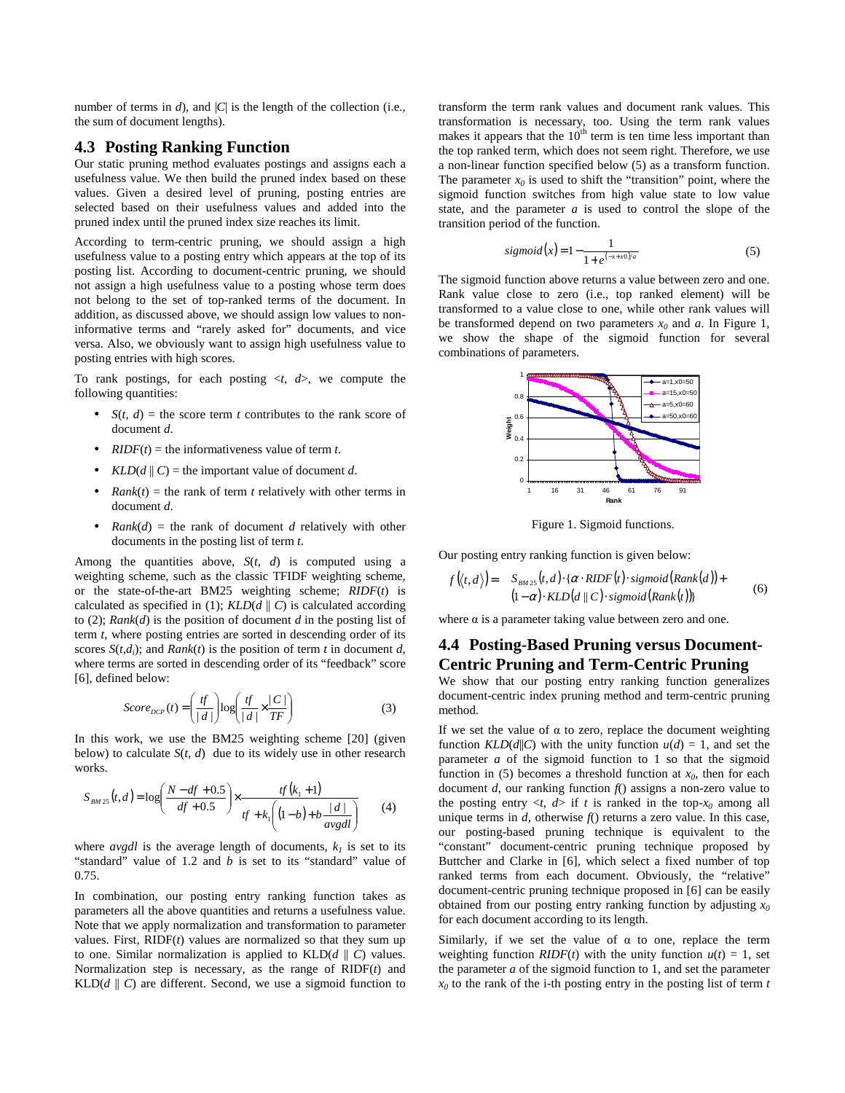number of terms in  $d$ ), and  $|C|$  is the length of the collection (i.e., the sum of document lengths).

#### **4.3 Posting Ranking Function**

Our static pruning method evaluates postings and assigns each a usefulness value. We then build the pruned index based on these values. Given a desired level of pruning, posting entries are selected based on their usefulness values and added into the pruned index until the pruned index size reaches its limit.

According to term-centric pruning, we should assign a high usefulness value to a posting entry which appears at the top of its posting list. According to document-centric pruning, we should not assign a high usefulness value to a posting whose term does not belong to the set of top-ranked terms of the document. In addition, as discussed above, we should assign low values to noninformative terms and "rarely asked for" documents, and vice versa. Also, we obviously want to assign high usefulness value to posting entries with high scores.

To rank postings, for each posting  $\langle t, d \rangle$ , we compute the following quantities:

- $S(t, d)$  = the score term *t* contributes to the rank score of document *d*.
- *RIDF*( $t$ ) = the informativeness value of term  $t$ .
- *KLD*( $d \parallel C$ ) = the important value of document  $d$ .
- *Rank*( $t$ ) = the rank of term  $t$  relatively with other terms in document *d*.
- *Rank*(*d*) = the rank of document *d* relatively with other documents in the posting list of term *t*.

Among the quantities above,  $S(t, d)$  is computed using a weighting scheme, such as the classic TFIDF weighting scheme, or the state-of-the-art BM25 weighting scheme; *RIDF*(*t*) is calculated as specified in (1);  $KLD(d || C)$  is calculated according to (2); *Rank*(*d*) is the position of document *d* in the posting list of term *t*, where posting entries are sorted in descending order of its scores  $S(t,d_i)$ ; and  $Rank(t)$  is the position of term *t* in document *d*, where terms are sorted in descending order of its "feedback" score [6], defined below:

$$
Score_{DCP}(t) = \left(\frac{tf}{|d|}\right)log\left(\frac{tf}{|d|} \times \frac{|C|}{TF}\right) \tag{3}
$$

In this work, we use the BM25 weighting scheme [20] (given below) to calculate  $S(t, d)$  due to its widely use in other research works.

$$
S_{BM25}(t,d) = \log\left(\frac{N - df + 0.5}{df + 0.5}\right) \times \frac{tf(k_1 + 1)}{tf + k_1\left((1 - b) + b\frac{|d|}{avgdl}\right)}\tag{4}
$$

where  $avgdl$  is the average length of documents,  $k_l$  is set to its "standard" value of 1.2 and *b* is set to its "standard" value of 0.75.

In combination, our posting entry ranking function takes as parameters all the above quantities and returns a usefulness value. Note that we apply normalization and transformation to parameter values. First,  $RIDF(t)$  values are normalized so that they sum up to one. Similar normalization is applied to  $KLD(d || C)$  values. Normalization step is necessary, as the range of RIDF(*t*) and KLD $(d \parallel C)$  are different. Second, we use a sigmoid function to transform the term rank values and document rank values. This transformation is necessary, too. Using the term rank values makes it appears that the  $10<sup>th</sup>$  term is ten time less important than the top ranked term, which does not seem right. Therefore, we use a non-linear function specified below (5) as a transform function. The parameter  $x_0$  is used to shift the "transition" point, where the sigmoid function switches from high value state to low value state, and the parameter *a* is used to control the slope of the transition period of the function.

$$
sigmoid(x) = 1 - \frac{1}{1 + e^{(-x + x0)/a}}
$$
\n(5)

The sigmoid function above returns a value between zero and one. Rank value close to zero (i.e., top ranked element) will be transformed to a value close to one, while other rank values will be transformed depend on two parameters  $x_0$  and  $a$ . In Figure 1, we show the shape of the sigmoid function for several combinations of parameters.



Figure 1. Sigmoid functions.

Our posting entry ranking function is given below:

$$
f(\langle t, d \rangle) = S_{BM25}(t, d) \cdot {\alpha \cdot RIDF(t) \cdot sigmoid(Rank(d)) +(1-\alpha) \cdot KLD(d || C) \cdot sigmoid(Rank(t))}
$$
 (6)

where  $\alpha$  is a parameter taking value between zero and one.

# **4.4 Posting-Based Pruning versus Document-Centric Pruning and Term-Centric Pruning**

We show that our posting entry ranking function generalizes document-centric index pruning method and term-centric pruning method.

If we set the value of  $\alpha$  to zero, replace the document weighting function *KLD*( $d$ ||C) with the unity function  $u(d) = 1$ , and set the parameter *a* of the sigmoid function to 1 so that the sigmoid function in (5) becomes a threshold function at  $x_0$ , then for each document *d*, our ranking function *f*() assigns a non-zero value to the posting entry  $\langle t, d \rangle$  if *t* is ranked in the top- $x_0$  among all unique terms in *d*, otherwise *f*() returns a zero value. In this case, our posting-based pruning technique is equivalent to the "constant" document-centric pruning technique proposed by Buttcher and Clarke in [6], which select a fixed number of top ranked terms from each document. Obviously, the "relative" document-centric pruning technique proposed in [6] can be easily obtained from our posting entry ranking function by adjusting *x<sup>0</sup>* for each document according to its length.

Similarly, if we set the value of  $\alpha$  to one, replace the term weighting function *RIDF*(*t*) with the unity function  $u(t) = 1$ , set the parameter *a* of the sigmoid function to 1, and set the parameter *x0* to the rank of the i-th posting entry in the posting list of term *t*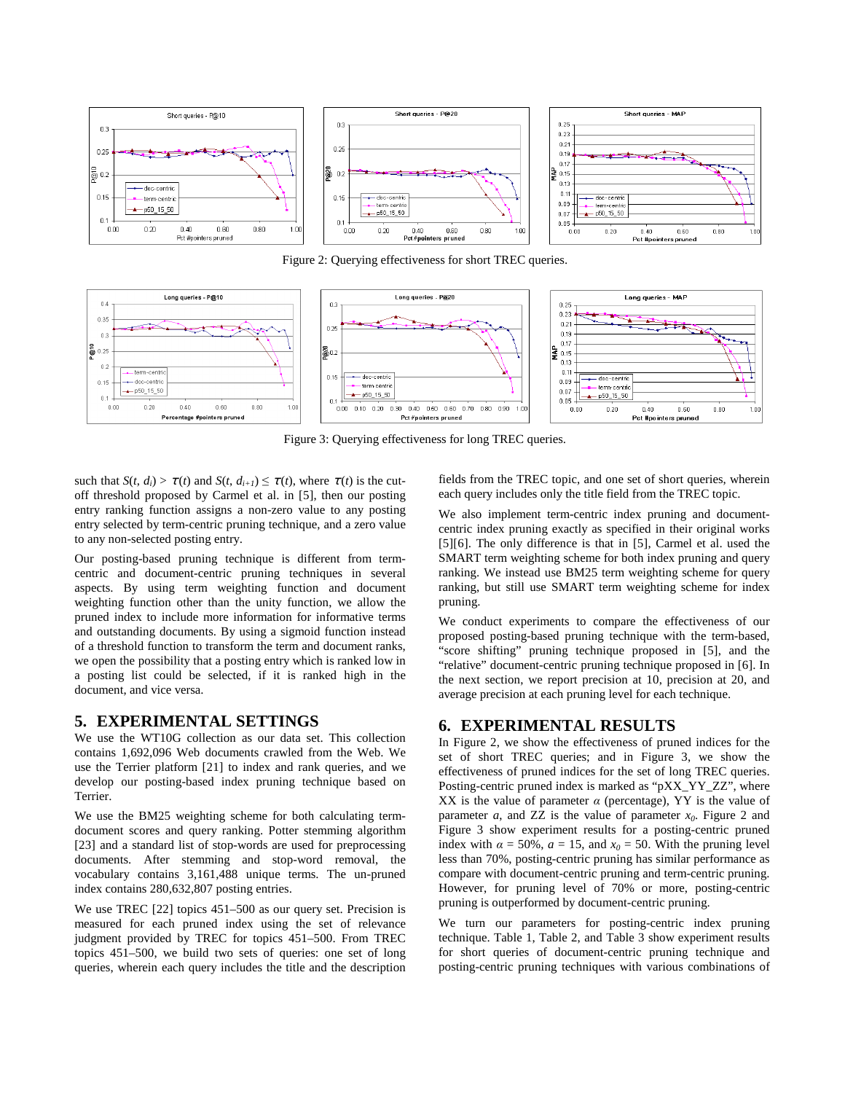

Figure 2: Querying effectiveness for short TREC queries.



Figure 3: Querying effectiveness for long TREC queries.

such that  $S(t, d_i) > \tau(t)$  and  $S(t, d_{i+1}) \leq \tau(t)$ , where  $\tau(t)$  is the cutoff threshold proposed by Carmel et al. in [5], then our posting entry ranking function assigns a non-zero value to any posting entry selected by term-centric pruning technique, and a zero value to any non-selected posting entry.

Our posting-based pruning technique is different from termcentric and document-centric pruning techniques in several aspects. By using term weighting function and document weighting function other than the unity function, we allow the pruned index to include more information for informative terms and outstanding documents. By using a sigmoid function instead of a threshold function to transform the term and document ranks, we open the possibility that a posting entry which is ranked low in a posting list could be selected, if it is ranked high in the document, and vice versa.

# **5. EXPERIMENTAL SETTINGS**

We use the WT10G collection as our data set. This collection contains 1,692,096 Web documents crawled from the Web. We use the Terrier platform [21] to index and rank queries, and we develop our posting-based index pruning technique based on Terrier.

We use the BM25 weighting scheme for both calculating termdocument scores and query ranking. Potter stemming algorithm [23] and a standard list of stop-words are used for preprocessing documents. After stemming and stop-word removal, the vocabulary contains 3,161,488 unique terms. The un-pruned index contains 280,632,807 posting entries.

We use TREC [22] topics 451–500 as our query set. Precision is measured for each pruned index using the set of relevance judgment provided by TREC for topics 451–500. From TREC topics 451–500, we build two sets of queries: one set of long queries, wherein each query includes the title and the description

fields from the TREC topic, and one set of short queries, wherein each query includes only the title field from the TREC topic.

We also implement term-centric index pruning and documentcentric index pruning exactly as specified in their original works [5][6]. The only difference is that in [5], Carmel et al. used the SMART term weighting scheme for both index pruning and query ranking. We instead use BM25 term weighting scheme for query ranking, but still use SMART term weighting scheme for index pruning.

We conduct experiments to compare the effectiveness of our proposed posting-based pruning technique with the term-based, "score shifting" pruning technique proposed in [5], and the "relative" document-centric pruning technique proposed in [6]. In the next section, we report precision at 10, precision at 20, and average precision at each pruning level for each technique.

# **6. EXPERIMENTAL RESULTS**

In Figure 2, we show the effectiveness of pruned indices for the set of short TREC queries; and in Figure 3, we show the effectiveness of pruned indices for the set of long TREC queries. Posting-centric pruned index is marked as "pXX\_YY\_ZZ", where XX is the value of parameter  $\alpha$  (percentage), YY is the value of parameter *a*, and ZZ is the value of parameter  $x_0$ . Figure 2 and Figure 3 show experiment results for a posting-centric pruned index with  $\alpha = 50\%$ ,  $a = 15$ , and  $x_0 = 50$ . With the pruning level less than 70%, posting-centric pruning has similar performance as compare with document-centric pruning and term-centric pruning. However, for pruning level of 70% or more, posting-centric pruning is outperformed by document-centric pruning.

We turn our parameters for posting-centric index pruning technique. Table 1, Table 2, and Table 3 show experiment results for short queries of document-centric pruning technique and posting-centric pruning techniques with various combinations of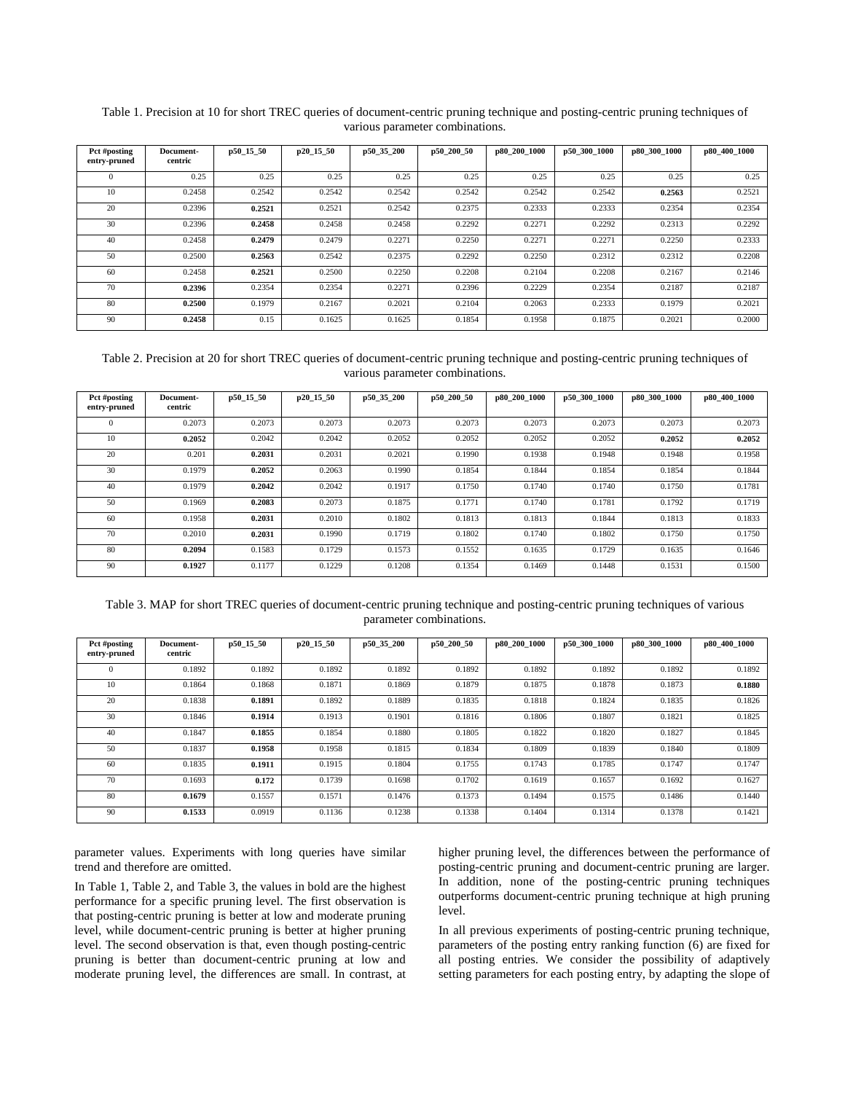| Pct #posting<br>entry-pruned | <b>Document-</b><br>centric | p50 15 50 | p20 15 50 | p50 35 200 | p50 200 50 | p80 200 1000 | p50 300 1000 | p80 300 1000 | p80 400 1000 |
|------------------------------|-----------------------------|-----------|-----------|------------|------------|--------------|--------------|--------------|--------------|
|                              |                             |           |           |            |            |              |              |              |              |
| $\Omega$                     | 0.25                        | 0.25      | 0.25      | 0.25       | 0.25       | 0.25         | 0.25         | 0.25         | 0.25         |
| 10                           | 0.2458                      | 0.2542    | 0.2542    | 0.2542     | 0.2542     | 0.2542       | 0.2542       | 0.2563       | 0.2521       |
| 20                           | 0.2396                      | 0.2521    | 0.2521    | 0.2542     | 0.2375     | 0.2333       | 0.2333       | 0.2354       | 0.2354       |
| 30                           | 0.2396                      | 0.2458    | 0.2458    | 0.2458     | 0.2292     | 0.2271       | 0.2292       | 0.2313       | 0.2292       |
| 40                           | 0.2458                      | 0.2479    | 0.2479    | 0.2271     | 0.2250     | 0.2271       | 0.227        | 0.2250       | 0.2333       |
| 50                           | 0.2500                      | 0.2563    | 0.2542    | 0.2375     | 0.2292     | 0.2250       | 0.2312       | 0.2312       | 0.2208       |
| 60                           | 0.2458                      | 0.2521    | 0.2500    | 0.2250     | 0.2208     | 0.2104       | 0.2208       | 0.2167       | 0.2146       |
| 70                           | 0.2396                      | 0.2354    | 0.2354    | 0.2271     | 0.2396     | 0.2229       | 0.2354       | 0.2187       | 0.2187       |
| 80                           | 0.2500                      | 0.1979    | 0.2167    | 0.2021     | 0.2104     | 0.2063       | 0.2333       | 0.1979       | 0.2021       |
| 90                           | 0.2458                      | 0.15      | 0.1625    | 0.1625     | 0.1854     | 0.1958       | 0.1875       | 0.2021       | 0.2000       |

Table 1. Precision at 10 for short TREC queries of document-centric pruning technique and posting-centric pruning techniques of various parameter combinations.

Table 2. Precision at 20 for short TREC queries of document-centric pruning technique and posting-centric pruning techniques of various parameter combinations.

| Pct #posting<br>entry-pruned | Document-<br>centric | p50 15 50 | p20 15 50 | p50 35 200 | p50 200 50 | p80 200 1000 | p50 300 1000 | p80 300 1000 | p80 400 1000 |
|------------------------------|----------------------|-----------|-----------|------------|------------|--------------|--------------|--------------|--------------|
| $\Omega$                     | 0.2073               | 0.2073    | 0.2073    | 0.2073     | 0.2073     | 0.2073       | 0.2073       | 0.2073       | 0.2073       |
|                              |                      |           |           |            |            |              |              |              |              |
| 10                           | 0.2052               | 0.2042    | 0.2042    | 0.2052     | 0.2052     | 0.2052       | 0.2052       | 0.2052       | 0.2052       |
| 20                           | 0.201                | 0.2031    | 0.2031    | 0.2021     | 0.1990     | 0.1938       | 0.1948       | 0.1948       | 0.1958       |
| 30                           | 0.1979               | 0.2052    | 0.2063    | 0.1990     | 0.1854     | 0.1844       | 0.1854       | 0.1854       | 0.1844       |
| 40                           | 0.1979               | 0.2042    | 0.2042    | 0.1917     | 0.1750     | 0.1740       | 0.1740       | 0.1750       | 0.1781       |
| 50                           | 0.1969               | 0.2083    | 0.2073    | 0.1875     | 0.1771     | 0.1740       | 0.1781       | 0.1792       | 0.1719       |
| 60                           | 0.1958               | 0.2031    | 0.2010    | 0.1802     | 0.1813     | 0.1813       | 0.1844       | 0.1813       | 0.1833       |
| 70                           | 0.2010               | 0.2031    | 0.1990    | 0.1719     | 0.1802     | 0.1740       | 0.1802       | 0.1750       | 0.1750       |
| 80                           | 0.2094               | 0.1583    | 0.1729    | 0.1573     | 0.1552     | 0.1635       | 0.1729       | 0.1635       | 0.1646       |
| 90                           | 0.1927               | 0.1177    | 0.1229    | 0.1208     | 0.1354     | 0.1469       | 0.1448       | 0.1531       | 0.1500       |

Table 3. MAP for short TREC queries of document-centric pruning technique and posting-centric pruning techniques of various parameter combinations.

| Pct #posting | Document- | p50 15 50 | p20 15 50 | p50 35 200 | p50 200 50 | p80 200 1000 | p50 300 1000 | p80 300 1000 | p80 400 1000 |
|--------------|-----------|-----------|-----------|------------|------------|--------------|--------------|--------------|--------------|
| entry-pruned | centric   |           |           |            |            |              |              |              |              |
| $\Omega$     | 0.1892    | 0.1892    | 0.1892    | 0.1892     | 0.1892     | 0.1892       | 0.1892       | 0.1892       | 0.1892       |
| 10           | 0.1864    | 0.1868    | 0.1871    | 0.1869     | 0.1879     | 0.1875       | 0.1878       | 0.1873       | 0.1880       |
| 20           | 0.1838    | 0.1891    | 0.1892    | 0.1889     | 0.1835     | 0.1818       | 0.1824       | 0.1835       | 0.1826       |
| 30           | 0.1846    | 0.1914    | 0.1913    | 0.1901     | 0.1816     | 0.1806       | 0.1807       | 0.1821       | 0.1825       |
| 40           | 0.1847    | 0.1855    | 0.1854    | 0.1880     | 0.1805     | 0.1822       | 0.1820       | 0.1827       | 0.1845       |
| 50           | 0.1837    | 0.1958    | 0.1958    | 0.1815     | 0.1834     | 0.1809       | 0.1839       | 0.1840       | 0.1809       |
| 60           | 0.1835    | 0.1911    | 0.1915    | 0.1804     | 0.1755     | 0.1743       | 0.1785       | 0.1747       | 0.1747       |
| 70           | 0.1693    | 0.172     | 0.1739    | 0.1698     | 0.1702     | 0.1619       | 0.1657       | 0.1692       | 0.1627       |
| 80           | 0.1679    | 0.1557    | 0.1571    | 0.1476     | 0.1373     | 0.1494       | 0.1575       | 0.1486       | 0.1440       |
| 90           | 0.1533    | 0.0919    | 0.1136    | 0.1238     | 0.1338     | 0.1404       | 0.1314       | 0.1378       | 0.1421       |

parameter values. Experiments with long queries have similar trend and therefore are omitted.

In Table 1, Table 2, and Table 3, the values in bold are the highest performance for a specific pruning level. The first observation is that posting-centric pruning is better at low and moderate pruning level, while document-centric pruning is better at higher pruning level. The second observation is that, even though posting-centric pruning is better than document-centric pruning at low and moderate pruning level, the differences are small. In contrast, at higher pruning level, the differences between the performance of posting-centric pruning and document-centric pruning are larger. In addition, none of the posting-centric pruning techniques outperforms document-centric pruning technique at high pruning level.

In all previous experiments of posting-centric pruning technique, parameters of the posting entry ranking function (6) are fixed for all posting entries. We consider the possibility of adaptively setting parameters for each posting entry, by adapting the slope of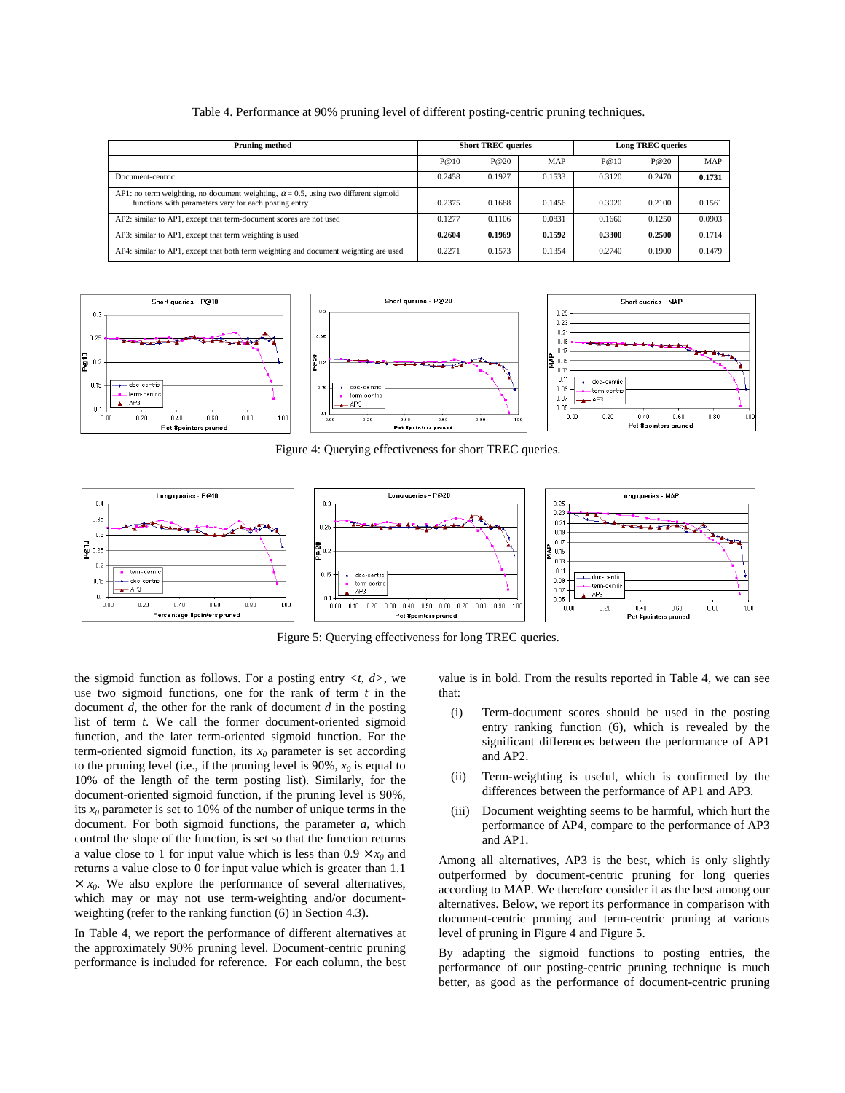| <b>Pruning method</b>                                                                                                                               |        | <b>Short TREC queries</b> |        | <b>Long TREC queries</b> |        |            |
|-----------------------------------------------------------------------------------------------------------------------------------------------------|--------|---------------------------|--------|--------------------------|--------|------------|
|                                                                                                                                                     | P@10   | P@20                      | MAP    | P@10                     | P@20   | <b>MAP</b> |
| Document-centric                                                                                                                                    | 0.2458 | 0.1927                    | 0.1533 | 0.3120                   | 0.2470 | 0.1731     |
| AP1: no term weighting, no document weighting, $\alpha$ = 0.5, using two different sigmoid<br>functions with parameters vary for each posting entry | 0.2375 | 0.1688                    | 0.1456 | 0.3020                   | 0.2100 | 0.1561     |
| AP2: similar to AP1, except that term-document scores are not used                                                                                  | 0.1277 | 0.1106                    | 0.0831 | 0.1660                   | 0.1250 | 0.0903     |
| AP3: similar to AP1, except that term weighting is used                                                                                             | 0.2604 | 0.1969                    | 0.1592 | 0.3300                   | 0.2500 | 0.1714     |
| AP4: similar to AP1, except that both term weighting and document weighting are used                                                                | 0.2271 | 0.1573                    | 0.1354 | 0.2740                   | 0.1900 | 0.1479     |

Table 4. Performance at 90% pruning level of different posting-centric pruning techniques.



Figure 4: Querying effectiveness for short TREC queries.



Figure 5: Querying effectiveness for long TREC queries.

the sigmoid function as follows. For a posting entry  $\langle t, d \rangle$ , we use two sigmoid functions, one for the rank of term *t* in the document *d*, the other for the rank of document *d* in the posting list of term *t*. We call the former document-oriented sigmoid function, and the later term-oriented sigmoid function. For the term-oriented sigmoid function, its  $x_0$  parameter is set according to the pruning level (i.e., if the pruning level is  $90\%$ ,  $x_0$  is equal to 10% of the length of the term posting list). Similarly, for the document-oriented sigmoid function, if the pruning level is 90%, its  $x_0$  parameter is set to 10% of the number of unique terms in the document. For both sigmoid functions, the parameter *a*, which control the slope of the function, is set so that the function returns a value close to 1 for input value which is less than  $0.9 \times x_0$  and returns a value close to 0 for input value which is greater than 1.1  $\times x_0$ . We also explore the performance of several alternatives, which may or may not use term-weighting and/or documentweighting (refer to the ranking function (6) in Section 4.3).

In Table 4, we report the performance of different alternatives at the approximately 90% pruning level. Document-centric pruning performance is included for reference. For each column, the best value is in bold. From the results reported in Table 4, we can see that:

- (i) Term-document scores should be used in the posting entry ranking function (6), which is revealed by the significant differences between the performance of AP1 and AP2.
- (ii) Term-weighting is useful, which is confirmed by the differences between the performance of AP1 and AP3.
- (iii) Document weighting seems to be harmful, which hurt the performance of AP4, compare to the performance of AP3 and AP1.

Among all alternatives, AP3 is the best, which is only slightly outperformed by document-centric pruning for long queries according to MAP. We therefore consider it as the best among our alternatives. Below, we report its performance in comparison with document-centric pruning and term-centric pruning at various level of pruning in Figure 4 and Figure 5.

By adapting the sigmoid functions to posting entries, the performance of our posting-centric pruning technique is much better, as good as the performance of document-centric pruning